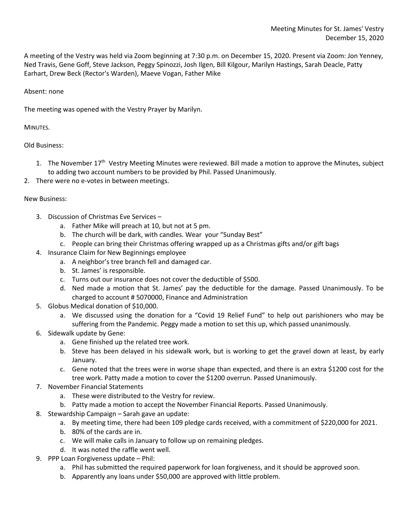A meeting of the Vestry was held via Zoom beginning at 7:30 p.m. on December 15, 2020. Present via Zoom: Jon Yenney, Ned Travis, Gene Goff, Steve Jackson, Peggy Spinozzi, Josh Ilgen, Bill Kilgour, Marilyn Hastings, Sarah Deacle, Patty Earhart, Drew Beck (Rector's Warden), Maeve Vogan, Father Mike

## Absent: none

The meeting was opened with the Vestry Prayer by Marilyn.

MINUTES.

## Old Business:

- 1. The November 17<sup>th</sup> Vestry Meeting Minutes were reviewed. Bill made a motion to approve the Minutes, subject to adding two account numbers to be provided by Phil. Passed Unanimously.
- 2. There were no e-votes in between meetings.

## New Business:

- 3. Discussion of Christmas Eve Services
	- a. Father Mike will preach at 10, but not at 5 pm.
	- b. The church will be dark, with candles. Wear your "Sunday Best"
	- c. People can bring their Christmas offering wrapped up as a Christmas gifts and/or gift bags
- 4. Insurance Claim for New Beginnings employee
	- a. A neighbor's tree branch fell and damaged car.
	- b. St. James' is responsible.
	- c. Turns out our insurance does not cover the deductible of \$500.
	- d. Ned made a motion that St. James' pay the deductible for the damage. Passed Unanimously. To be charged to account # 5070000, Finance and Administration
- 5. Globus Medical donation of \$10,000.
	- a. We discussed using the donation for a "Covid 19 Relief Fund" to help out parishioners who may be suffering from the Pandemic. Peggy made a motion to set this up, which passed unanimously.
- 6. Sidewalk update by Gene:
	- a. Gene finished up the related tree work.
	- b. Steve has been delayed in his sidewalk work, but is working to get the gravel down at least, by early January.
	- c. Gene noted that the trees were in worse shape than expected, and there is an extra \$1200 cost for the tree work. Patty made a motion to cover the \$1200 overrun. Passed Unanimously.
- 7. November Financial Statements
	- a. These were distributed to the Vestry for review.
	- b. Patty made a motion to accept the November Financial Reports. Passed Unanimously.
- 8. Stewardship Campaign Sarah gave an update:
	- a. By meeting time, there had been 109 pledge cards received, with a commitment of \$220,000 for 2021.
	- b. 80% of the cards are in.
	- c. We will make calls in January to follow up on remaining pledges.
	- d. It was noted the raffle went well.
- 9. PPP Loan Forgiveness update Phil:
	- a. Phil has submitted the required paperwork for loan forgiveness, and it should be approved soon.
	- b. Apparently any loans under \$50,000 are approved with little problem.